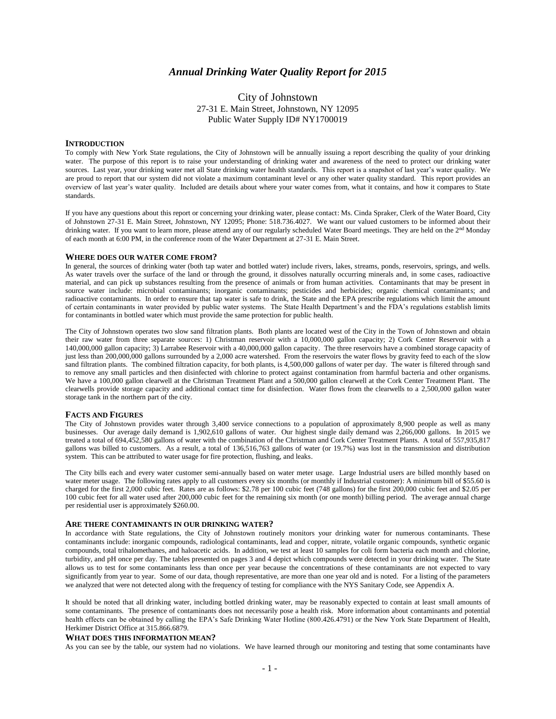# *Annual Drinking Water Quality Report for 2015*

# City of Johnstown 27-31 E. Main Street, Johnstown, NY 12095 Public Water Supply ID# NY1700019

#### **INTRODUCTION**

To comply with New York State regulations, the City of Johnstown will be annually issuing a report describing the quality of your drinking water. The purpose of this report is to raise your understanding of drinking water and awareness of the need to protect our drinking water sources. Last year, your drinking water met all State drinking water health standards. This report is a snapshot of last year's water quality. We are proud to report that our system did not violate a maximum contaminant level or any other water quality standard. This report provides an overview of last year's water quality. Included are details about where your water comes from, what it contains, and how it compares to State standards.

If you have any questions about this report or concerning your drinking water, please contact: Ms. Cinda Spraker, Clerk of the Water Board, City of Johnstown 27-31 E. Main Street, Johnstown, NY 12095; Phone: 518.736.4027. We want our valued customers to be informed about their drinking water. If you want to learn more, please attend any of our regularly scheduled Water Board meetings. They are held on the 2<sup>nd</sup> Monday of each month at 6:00 PM, in the conference room of the Water Department at 27-31 E. Main Street.

#### **WHERE DOES OUR WATER COME FROM?**

In general, the sources of drinking water (both tap water and bottled water) include rivers, lakes, streams, ponds, reservoirs, springs, and wells. As water travels over the surface of the land or through the ground, it dissolves naturally occurring minerals and, in some cases, radioactive material, and can pick up substances resulting from the presence of animals or from human activities. Contaminants that may be present in source water include: microbial contaminants; inorganic contaminants; pesticides and herbicides; organic chemical contaminants; and radioactive contaminants. In order to ensure that tap water is safe to drink, the State and the EPA prescribe regulations which limit the amount of certain contaminants in water provided by public water systems. The State Health Department's and the FDA's regulations establish limits for contaminants in bottled water which must provide the same protection for public health.

The City of Johnstown operates two slow sand filtration plants. Both plants are located west of the City in the Town of Johnstown and obtain their raw water from three separate sources: 1) Christman reservoir with a 10,000,000 gallon capacity; 2) Cork Center Reservoir with a 140,000,000 gallon capacity; 3) Larrabee Reservoir with a 40,000,000 gallon capacity. The three reservoirs have a combined storage capacity of just less than 200,000,000 gallons surrounded by a 2,000 acre watershed. From the reservoirs the water flows by gravity feed to each of the slow sand filtration plants. The combined filtration capacity, for both plants, is 4,500,000 gallons of water per day. The water is filtered through sand to remove any small particles and then disinfected with chlorine to protect against contamination from harmful bacteria and other organisms. We have a 100,000 gallon clearwell at the Christman Treatment Plant and a 500,000 gallon clearwell at the Cork Center Treatment Plant. The clearwells provide storage capacity and additional contact time for disinfection. Water flows from the clearwells to a 2,500,000 gallon water storage tank in the northern part of the city.

### **FACTS AND FIGURES**

The City of Johnstown provides water through 3,400 service connections to a population of approximately 8,900 people as well as many businesses. Our average daily demand is 1,902,610 gallons of water. Our highest single daily demand was 2,266,000 gallons. In 2015 we treated a total of 694,452,580 gallons of water with the combination of the Christman and Cork Center Treatment Plants. A total of 557,935,817 gallons was billed to customers. As a result, a total of 136,516,763 gallons of water (or 19.7%) was lost in the transmission and distribution system. This can be attributed to water usage for fire protection, flushing, and leaks.

The City bills each and every water customer semi-annually based on water meter usage. Large Industrial users are billed monthly based on water meter usage. The following rates apply to all customers every six months (or monthly if Industrial customer): A minimum bill of \$55.60 is charged for the first 2,000 cubic feet. Rates are as follows: \$2.78 per 100 cubic feet (748 gallons) for the first 200,000 cubic feet and \$2.05 per 100 cubic feet for all water used after 200,000 cubic feet for the remaining six month (or one month) billing period. The average annual charge per residential user is approximately \$260.00.

#### **ARE THERE CONTAMINANTS IN OUR DRINKING WATER?**

In accordance with State regulations, the City of Johnstown routinely monitors your drinking water for numerous contaminants. These contaminants include: inorganic compounds, radiological contaminants, lead and copper, nitrate, volatile organic compounds, synthetic organic compounds, total trihalomethanes, and haloacetic acids. In addition, we test at least 10 samples for coli form bacteria each month and chlorine, turbidity, and pH once per day. The tables presented on pages 3 and 4 depict which compounds were detected in your drinking water. The State allows us to test for some contaminants less than once per year because the concentrations of these contaminants are not expected to vary significantly from year to year. Some of our data, though representative, are more than one year old and is noted. For a listing of the parameters we analyzed that were not detected along with the frequency of testing for compliance with the NYS Sanitary Code, see Appendix A.

It should be noted that all drinking water, including bottled drinking water, may be reasonably expected to contain at least small amounts of some contaminants. The presence of contaminants does not necessarily pose a health risk. More information about contaminants and potential health effects can be obtained by calling the EPA's Safe Drinking Water Hotline (800.426.4791) or the New York State Department of Health, Herkimer District Office at 315.866.6879.

#### **WHAT DOES THIS INFORMATION MEAN?**

As you can see by the table, our system had no violations. We have learned through our monitoring and testing that some contaminants have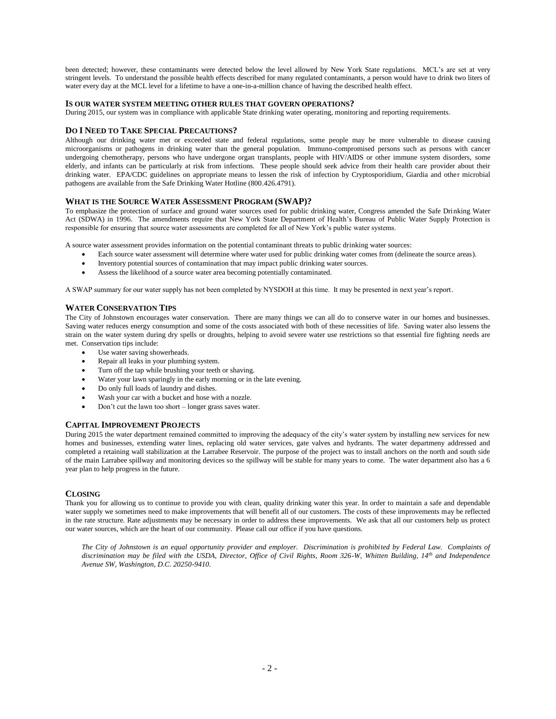been detected; however, these contaminants were detected below the level allowed by New York State regulations. MCL's are set at very stringent levels. To understand the possible health effects described for many regulated contaminants, a person would have to drink two liters of water every day at the MCL level for a lifetime to have a one-in-a-million chance of having the described health effect.

## **IS OUR WATER SYSTEM MEETING OTHER RULES THAT GOVERN OPERATIONS?**

During 2015, our system was in compliance with applicable State drinking water operating, monitoring and reporting requirements.

#### **DO I NEED TO TAKE SPECIAL PRECAUTIONS?**

Although our drinking water met or exceeded state and federal regulations, some people may be more vulnerable to disease causing microorganisms or pathogens in drinking water than the general population. Immuno-compromised persons such as persons with cancer undergoing chemotherapy, persons who have undergone organ transplants, people with HIV/AIDS or other immune system disorders, some elderly, and infants can be particularly at risk from infections. These people should seek advice from their health care provider about their drinking water. EPA/CDC guidelines on appropriate means to lessen the risk of infection by Cryptosporidium, Giardia and other microbial pathogens are available from the Safe Drinking Water Hotline (800.426.4791).

## **WHAT IS THE SOURCE WATER ASSESSMENT PROGRAM (SWAP)?**

To emphasize the protection of surface and ground water sources used for public drinking water, Congress amended the Safe Drinking Water Act (SDWA) in 1996. The amendments require that New York State Department of Health's Bureau of Public Water Supply Protection is responsible for ensuring that source water assessments are completed for all of New York's public water systems.

A source water assessment provides information on the potential contaminant threats to public drinking water sources:

- Each source water assessment will determine where water used for public drinking water comes from (delineate the source areas).
- Inventory potential sources of contamination that may impact public drinking water sources.
- Assess the likelihood of a source water area becoming potentially contaminated.

A SWAP summary for our water supply has not been completed by NYSDOH at this time. It may be presented in next year's report.

## **WATER CONSERVATION TIPS**

The City of Johnstown encourages water conservation. There are many things we can all do to conserve water in our homes and businesses. Saving water reduces energy consumption and some of the costs associated with both of these necessities of life. Saving water also lessens the strain on the water system during dry spells or droughts, helping to avoid severe water use restrictions so that essential fire fighting needs are met. Conservation tips include:

- Use water saving showerheads.
- Repair all leaks in your plumbing system.
- Turn off the tap while brushing your teeth or shaving.
- Water your lawn sparingly in the early morning or in the late evening.
- Do only full loads of laundry and dishes.
- Wash your car with a bucket and hose with a nozzle.
- Don't cut the lawn too short longer grass saves water.

## **CAPITAL IMPROVEMENT PROJECTS**

During 2015 the water department remained committed to improving the adequacy of the city's water system by installing new services for new homes and businesses, extending water lines, replacing old water services, gate valves and hydrants. The water departmeny addressed and completed a retaining wall stabilization at the Larrabee Reservoir. The purpose of the project was to install anchors on the north and south side of the main Larrabee spillway and monitoring devices so the spillway will be stable for many years to come. The water department also has a 6 year plan to help progress in the future.

#### **CLOSING**

Thank you for allowing us to continue to provide you with clean, quality drinking water this year. In order to maintain a safe and dependable water supply we sometimes need to make improvements that will benefit all of our customers. The costs of these improvements may be reflected in the rate structure. Rate adjustments may be necessary in order to address these improvements. We ask that all our customers help us protect our water sources, which are the heart of our community. Please call our office if you have questions.

*The City of Johnstown is an equal opportunity provider and employer. Discrimination is prohibited by Federal Law. Complaints of discrimination may be filed with the USDA, Director, Office of Civil Rights, Room 326-W, Whitten Building, 14th and Independence Avenue SW, Washington, D.C. 20250-9410.*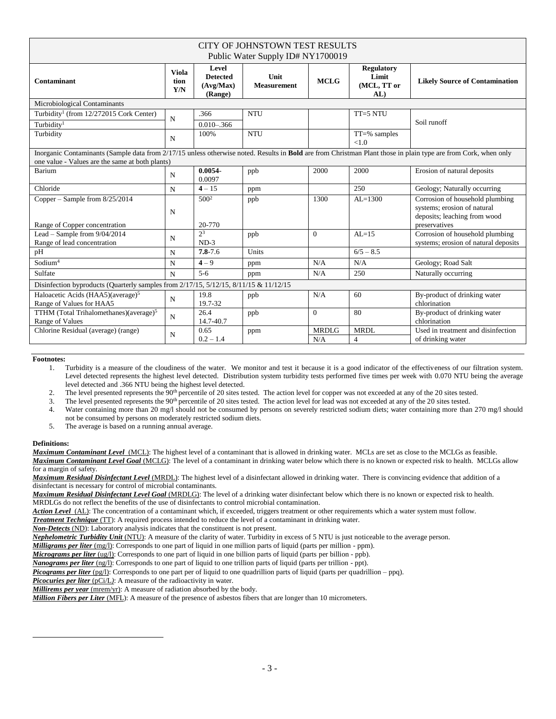| CITY OF JOHNSTOWN TEST RESULTS<br>Public Water Supply ID# NY1700019                                                                                                                                               |                             |                                                  |                            |                     |                                                  |                                                                                                                 |  |  |  |  |  |  |
|-------------------------------------------------------------------------------------------------------------------------------------------------------------------------------------------------------------------|-----------------------------|--------------------------------------------------|----------------------------|---------------------|--------------------------------------------------|-----------------------------------------------------------------------------------------------------------------|--|--|--|--|--|--|
| Contaminant                                                                                                                                                                                                       | <b>Viola</b><br>tion<br>Y/N | Level<br><b>Detected</b><br>(Avg/Max)<br>(Range) | Unit<br><b>Measurement</b> | <b>MCLG</b>         | <b>Regulatory</b><br>Limit<br>(MCL, TT or<br>AL) | <b>Likely Source of Contamination</b>                                                                           |  |  |  |  |  |  |
| Microbiological Contaminants                                                                                                                                                                                      |                             |                                                  |                            |                     |                                                  |                                                                                                                 |  |  |  |  |  |  |
| Turbidity <sup>1</sup> (from 12/272015 Cork Center)                                                                                                                                                               | N                           | .366                                             | <b>NTU</b>                 |                     | TT=5 NTU                                         | Soil runoff                                                                                                     |  |  |  |  |  |  |
| Turbidity <sup>1</sup>                                                                                                                                                                                            |                             | $0.010 - 0.366$                                  |                            |                     |                                                  |                                                                                                                 |  |  |  |  |  |  |
| Turbidity                                                                                                                                                                                                         | N                           | 100%                                             | <b>NTU</b>                 |                     | $TT = %$ samples<br>< 1.0                        |                                                                                                                 |  |  |  |  |  |  |
| Inorganic Contaminants (Sample data from 2/17/15 unless otherwise noted. Results in Bold are from Christman Plant those in plain type are from Cork, when only<br>one value - Values are the same at both plants) |                             |                                                  |                            |                     |                                                  |                                                                                                                 |  |  |  |  |  |  |
| Barium                                                                                                                                                                                                            | N                           | $0.0054 -$<br>0.0097                             | ppb                        | 2000                | 2000                                             | Erosion of natural deposits                                                                                     |  |  |  |  |  |  |
| Chloride                                                                                                                                                                                                          | N                           | $4 - 15$                                         | ppm                        |                     | 250                                              | Geology; Naturally occurring                                                                                    |  |  |  |  |  |  |
| Copper – Sample from $8/25/2014$<br>Range of Copper concentration                                                                                                                                                 | N                           | $500^2$<br>20-770                                | ppb                        | 1300                | $AL=1300$                                        | Corrosion of household plumbing<br>systems; erosion of natural<br>deposits; leaching from wood<br>preservatives |  |  |  |  |  |  |
| Lead - Sample from $9/04/2014$<br>Range of lead concentration                                                                                                                                                     | N                           | $2^3$<br>$ND-3$                                  | ppb                        | $\Omega$            | $AL=15$                                          | Corrosion of household plumbing<br>systems; erosion of natural deposits                                         |  |  |  |  |  |  |
| pH                                                                                                                                                                                                                | N                           | $7.8 - 7.6$                                      | Units                      |                     | $6/5 - 8.5$                                      |                                                                                                                 |  |  |  |  |  |  |
| Sodium <sup>4</sup>                                                                                                                                                                                               | N                           | $4 - 9$                                          | ppm                        | N/A                 | N/A                                              | Geology; Road Salt                                                                                              |  |  |  |  |  |  |
| Sulfate                                                                                                                                                                                                           | N                           | $5-6$                                            | ppm                        | N/A                 | 250                                              | Naturally occurring                                                                                             |  |  |  |  |  |  |
| Disinfection byproducts (Quarterly samples from 2/17/15, 5/12/15, 8/11/15 & 11/12/15                                                                                                                              |                             |                                                  |                            |                     |                                                  |                                                                                                                 |  |  |  |  |  |  |
| Haloacetic Acids (HAA5)(average) <sup>5</sup><br>Range of Values for HAA5                                                                                                                                         | $\mathbf N$                 | 19.8<br>19.7-32                                  | ppb                        | N/A                 | 60                                               | By-product of drinking water<br>chlorination                                                                    |  |  |  |  |  |  |
| TTHM (Total Trihalomethanes)(average) <sup>5</sup><br>Range of Values                                                                                                                                             | N                           | 26.4<br>14.7-40.7                                | ppb                        | $\Omega$            | 80                                               | By-product of drinking water<br>chlorination                                                                    |  |  |  |  |  |  |
| Chlorine Residual (average) (range)                                                                                                                                                                               | N                           | 0.65<br>$0.2 - 1.4$                              | ppm                        | <b>MRDLG</b><br>N/A | <b>MRDL</b><br>$\overline{4}$                    | Used in treatment and disinfection<br>of drinking water                                                         |  |  |  |  |  |  |

### **Footnotes:**

1. Turbidity is a measure of the cloudiness of the water. We monitor and test it because it is a good indicator of the effectiveness of our filtration system. Level detected represents the highest level detected. Distribution system turbidity tests performed five times per week with 0.070 NTU being the average level detected and .366 NTU being the highest level detected.

2. The level presented represents the 90<sup>th</sup> percentile of 20 sites tested. The action level for copper was not exceeded at any of the 20 sites tested.

3. The level presented represents the 90<sup>th</sup> percentile of 20 sites tested. The action level for lead was not exceeded at any of the 20 sites tested.

4. Water containing more than 20 mg/l should not be consumed by persons on severely restricted sodium diets; water containing more than 270 mg/l should not be consumed by persons on moderately restricted sodium diets.

5. The average is based on a running annual average.

# **Definitions:**

 $\overline{a}$ 

*Maximum Contaminant Level*(MCL): The highest level of a contaminant that is allowed in drinking water. MCLs are set as close to the MCLGs as feasible. *Maximum Contaminant Level Goal* (MCLG): The level of a contaminant in drinking water below which there is no known or expected risk to health. MCLGs allow for a margin of safety.

*Maximum Residual Disinfectant Level* (MRDL): The highest level of a disinfectant allowed in drinking water. There is convincing evidence that addition of a disinfectant is necessary for control of microbial contaminants.

*Maximum Residual Disinfectant Level Goal* (MRDLG): The level of a drinking water disinfectant below which there is no known or expected risk to health. MRDLGs do not reflect the benefits of the use of disinfectants to control microbial contamination.

Action Level (AL): The concentration of a contaminant which, if exceeded, triggers treatment or other requirements which a water system must follow.

*Treatment Technique* (TT): A required process intended to reduce the level of a contaminant in drinking water.

*Non-Detects* (ND): Laboratory analysis indicates that the constituent is not present.

*Nephelometric Turbidity Unit* (NTU): A measure of the clarity of water. Turbidity in excess of 5 NTU is just noticeable to the average person.

*Milligrams per liter* (mg/l): Corresponds to one part of liquid in one million parts of liquid (parts per million - ppm).

*Micrograms per liter* (ug/l): Corresponds to one part of liquid in one billion parts of liquid (parts per billion - ppb).

*Nanograms per liter* (ng/l): Corresponds to one part of liquid to one trillion parts of liquid (parts per trillion - ppt).

*Picograms per liter* (pg/l): Corresponds to one part per of liquid to one quadrillion parts of liquid (parts per quadrillion – ppq).

*Picocuries per liter* (pCi/L): A measure of the radioactivity in water.

*Millirems per year* (mrem/yr): A measure of radiation absorbed by the body.

*Million Fibers per Liter* (MFL): A measure of the presence of asbestos fibers that are longer than 10 micrometers.